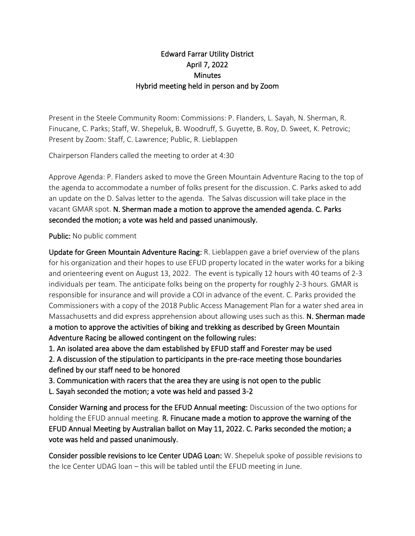## Edward Farrar Utility District April 7, 2022 **Minutes** Hybrid meeting held in person and by Zoom

Present in the Steele Community Room: Commissions: P. Flanders, L. Sayah, N. Sherman, R. Finucane, C. Parks; Staff, W. Shepeluk, B. Woodruff, S. Guyette, B. Roy, D. Sweet, K. Petrovic; Present by Zoom: Staff, C. Lawrence; Public, R. Lieblappen

Chairperson Flanders called the meeting to order at 4:30

Approve Agenda: P. Flanders asked to move the Green Mountain Adventure Racing to the top of the agenda to accommodate a number of folks present for the discussion. C. Parks asked to add an update on the D. Salvas letter to the agenda. The Salvas discussion will take place in the vacant GMAR spot. N. Sherman made a motion to approve the amended agenda. C. Parks seconded the motion; a vote was held and passed unanimously.

## Public: No public comment

Update for Green Mountain Adventure Racing: R. Lieblappen gave a brief overview of the plans for his organization and their hopes to use EFUD property located in the water works for a biking and orienteering event on August 13, 2022. The event is typically 12 hours with 40 teams of 2-3 individuals per team. The anticipate folks being on the property for roughly 2-3 hours. GMAR is responsible for insurance and will provide a COI in advance of the event. C. Parks provided the Commissioners with a copy of the 2018 Public Access Management Plan for a water shed area in Massachusetts and did express apprehension about allowing uses such as this. N. Sherman made a motion to approve the activities of biking and trekking as described by Green Mountain Adventure Racing be allowed contingent on the following rules:

1. An isolated area above the dam established by EFUD staff and Forester may be used

2. A discussion of the stipulation to participants in the pre-race meeting those boundaries defined by our staff need to be honored

3. Communication with racers that the area they are using is not open to the public

L. Sayah seconded the motion; a vote was held and passed 3-2

Consider Warning and process for the EFUD Annual meeting: Discussion of the two options for holding the EFUD annual meeting. R. Finucane made a motion to approve the warning of the EFUD Annual Meeting by Australian ballot on May 11, 2022. C. Parks seconded the motion; a vote was held and passed unanimously.

Consider possible revisions to Ice Center UDAG Loan: W. Shepeluk spoke of possible revisions to the Ice Center UDAG loan – this will be tabled until the EFUD meeting in June.